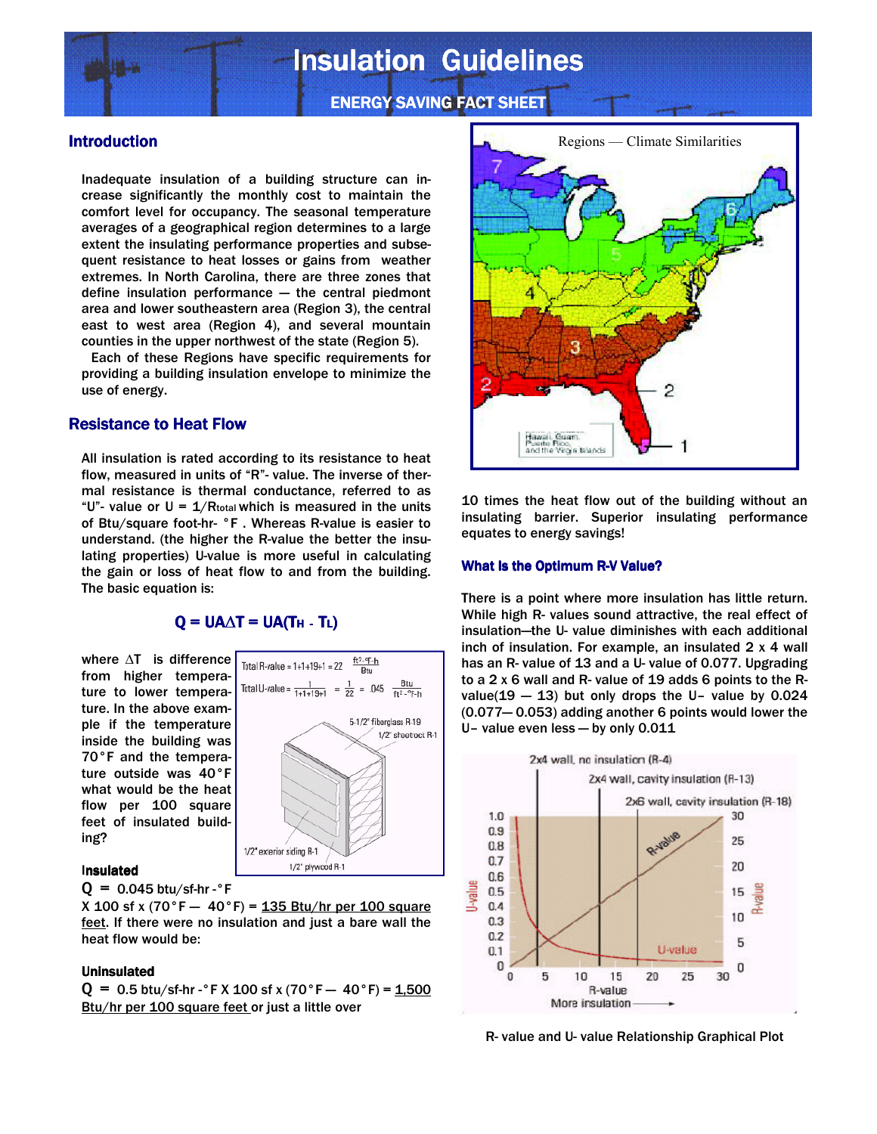# **Insulation Guidelines**

**ENERGY SAVING FACT SHEET** 

## Introduction

Inadequate insulation of a building structure can increase significantly the monthly cost to maintain the comfort level for occupancy. The seasonal temperature averages of a geographical region determines to a large extent the insulating performance properties and subsequent resistance to heat losses or gains from weather extremes. In North Carolina, there are three zones that define insulation performance — the central piedmont area and lower southeastern area (Region 3), the central east to west area (Region 4), and several mountain counties in the upper northwest of the state (Region 5).

 Each of these Regions have specific requirements for providing a building insulation envelope to minimize the use of energy.

# Resistance to Heat Flow

All insulation is rated according to its resistance to heat flow, measured in units of "R"- value. The inverse of thermal resistance is thermal conductance, referred to as "U"- value or  $U = 1/R_{total}$  which is measured in the units of Btu/square foot-hr- °F . Whereas R-value is easier to understand. (the higher the R-value the better the insulating properties) U-value is more useful in calculating the gain or loss of heat flow to and from the building. The basic equation is:

# $Q = UA\Delta T = UA(TH - TL)$

where ∆T is difference from higher temperature to lower temperature. In the above example if the temperature inside the building was 70°F and the temperature outside was 40°F what would be the heat flow per 100 square feet of insulated building?



#### Insulated

 $Q = 0.045$  btu/sf-hr - $\degree$ F

X 100 sf x (70 $\degree$ F - 40 $\degree$ F) = 135 Btu/hr per 100 square feet. If there were no insulation and just a bare wall the heat flow would be:

#### **Uninsulated**

 $Q = 0.5$  btu/sf-hr - °F X 100 sf x (70 °F  $-$  40 °F) = 1,500 Btu/hr per 100 square feet or just a little over



10 times the heat flow out of the building without an insulating barrier. Superior insulating performance equates to energy savings!

#### What Is the Optimum R-V Value?

There is a point where more insulation has little return. While high R- values sound attractive, the real effect of insulation—the U- value diminishes with each additional inch of insulation. For example, an insulated 2 x 4 wall has an R- value of 13 and a U- value of 0.077. Upgrading to a 2 x 6 wall and R- value of 19 adds 6 points to the Rvalue( $19 - 13$ ) but only drops the U- value by 0.024 (0.077— 0.053) adding another 6 points would lower the U– value even less — by only 0.011



R- value and U- value Relationship Graphical Plot